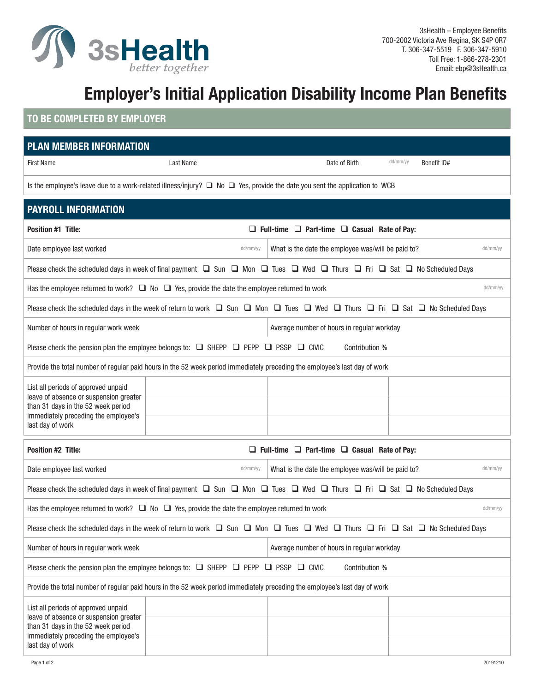

## **Employer's Initial Application Disability Income Plan Benefits**

## **TO BE COMPLETED BY EMPLOYER**

| <b>PLAN MEMBER INFORMATION</b>                                                                                                                                                  |                                                              |                                                    |          |             |  |  |
|---------------------------------------------------------------------------------------------------------------------------------------------------------------------------------|--------------------------------------------------------------|----------------------------------------------------|----------|-------------|--|--|
| <b>First Name</b>                                                                                                                                                               | Last Name                                                    | Date of Birth                                      | dd/mm/yy | Benefit ID# |  |  |
| Is the employee's leave due to a work-related illness/injury? $\Box$ No $\Box$ Yes, provide the date you sent the application to WCB                                            |                                                              |                                                    |          |             |  |  |
| <b>PAYROLL INFORMATION</b>                                                                                                                                                      |                                                              |                                                    |          |             |  |  |
| <b>Position #1 Title:</b>                                                                                                                                                       | $\Box$ Full-time $\Box$ Part-time $\Box$ Casual Rate of Pay: |                                                    |          |             |  |  |
| Date employee last worked                                                                                                                                                       | dd/mm/yy                                                     | What is the date the employee was/will be paid to? |          | dd/mm/yy    |  |  |
| Please check the scheduled days in week of final payment $\Box$ Sun $\Box$ Mon $\Box$ Tues $\Box$ Wed $\Box$ Thurs $\Box$ Fri $\Box$ Sat $\Box$ No Scheduled Days               |                                                              |                                                    |          |             |  |  |
| Has the employee returned to work? $\Box$ No $\Box$ Yes, provide the date the employee returned to work<br>dd/mm/yy                                                             |                                                              |                                                    |          |             |  |  |
| Please check the scheduled days in the week of return to work $\Box$ Sun $\Box$ Mon $\Box$ Tues $\Box$ Wed $\Box$ Thurs $\Box$ Fri $\Box$ Sat $\Box$ No Scheduled Days          |                                                              |                                                    |          |             |  |  |
| Number of hours in regular work week                                                                                                                                            |                                                              | Average number of hours in regular workday         |          |             |  |  |
| Please check the pension plan the employee belongs to: $\Box$ SHEPP $\Box$ PEPP $\Box$ PSSP $\Box$ CIVIC<br>Contribution %                                                      |                                                              |                                                    |          |             |  |  |
| Provide the total number of regular paid hours in the 52 week period immediately preceding the employee's last day of work                                                      |                                                              |                                                    |          |             |  |  |
| List all periods of approved unpaid<br>leave of absence or suspension greater<br>than 31 days in the 52 week period<br>immediately preceding the employee's<br>last day of work |                                                              |                                                    |          |             |  |  |
|                                                                                                                                                                                 |                                                              |                                                    |          |             |  |  |
|                                                                                                                                                                                 |                                                              |                                                    |          |             |  |  |
| $\Box$ Full-time $\Box$ Part-time $\Box$ Casual Rate of Pay:<br><b>Position #2 Title:</b>                                                                                       |                                                              |                                                    |          |             |  |  |
| Date employee last worked                                                                                                                                                       | dd/mm/yy                                                     | What is the date the employee was/will be paid to? |          | dd/mm/yy    |  |  |
| Please check the scheduled days in week of final payment $\Box$ Sun $\Box$ Mon $\Box$ Tues $\Box$ Wed $\Box$ Thurs $\Box$ Fri $\Box$ Sat $\Box$ No Scheduled Days               |                                                              |                                                    |          |             |  |  |
| Has the employee returned to work? $\Box$ No $\Box$ Yes, provide the date the employee returned to work<br>dd/mm/yy                                                             |                                                              |                                                    |          |             |  |  |
| Please check the scheduled days in the week of return to work $\Box$ Sun $\Box$ Mon $\Box$ Tues $\Box$ Wed $\Box$ Thurs $\Box$ Fri $\Box$ Sat $\Box$ No Scheduled Days          |                                                              |                                                    |          |             |  |  |
| Number of hours in regular work week<br>Average number of hours in regular workday                                                                                              |                                                              |                                                    |          |             |  |  |
| Please check the pension plan the employee belongs to: $\Box$ SHEPP $\Box$ PEPP $\Box$ PSSP $\Box$ CIVIC<br>Contribution %                                                      |                                                              |                                                    |          |             |  |  |
| Provide the total number of regular paid hours in the 52 week period immediately preceding the employee's last day of work                                                      |                                                              |                                                    |          |             |  |  |
| List all periods of approved unpaid<br>leave of absence or suspension greater<br>than 31 days in the 52 week period<br>immediately preceding the employee's<br>last day of work |                                                              |                                                    |          |             |  |  |
|                                                                                                                                                                                 |                                                              |                                                    |          |             |  |  |
|                                                                                                                                                                                 |                                                              |                                                    |          |             |  |  |